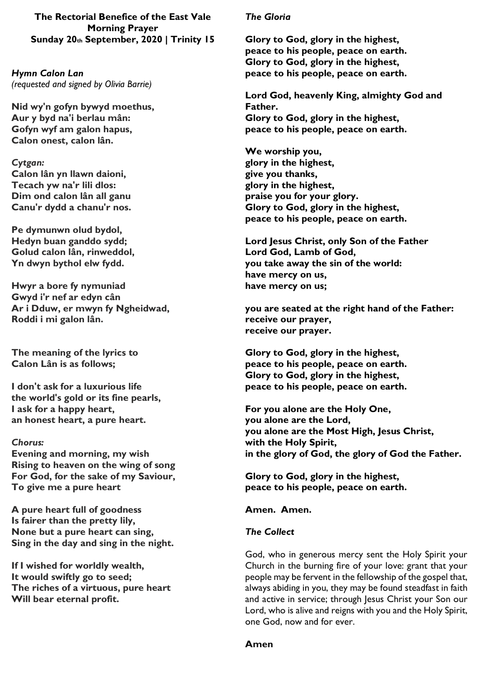## **The Rectorial Benefice of the East Vale Morning Prayer Sunday 20th September, 2020 | Trinity 15**

*Hymn Calon Lan (requested and signed by Olivia Barrie)*

**Nid wy'n gofyn bywyd moethus, Aur y byd na'i berlau mân: Gofyn wyf am galon hapus, Calon onest, calon lân.**

#### *Cytgan:*

**Calon lân yn llawn daioni, Tecach yw na'r lili dlos: Dim ond calon lân all ganu Canu'r dydd a chanu'r nos.**

**Pe dymunwn olud bydol, Hedyn buan ganddo sydd; Golud calon lân, rinweddol, Yn dwyn bythol elw fydd.**

**Hwyr a bore fy nymuniad Gwyd i'r nef ar edyn cân Ar i Dduw, er mwyn fy Ngheidwad, Roddi i mi galon lân.**

**The meaning of the lyrics to Calon Lân is as follows;**

**I don't ask for a luxurious life the world's gold or its fine pearls, I ask for a happy heart, an honest heart, a pure heart.**

## *Chorus:*

**Evening and morning, my wish Rising to heaven on the wing of song For God, for the sake of my Saviour, To give me a pure heart**

**A pure heart full of goodness Is fairer than the pretty lily, None but a pure heart can sing, Sing in the day and sing in the night.**

**If I wished for worldly wealth, It would swiftly go to seed; The riches of a virtuous, pure heart Will bear eternal profit.**

### *The Gloria*

**Glory to God, glory in the highest, peace to his people, peace on earth. Glory to God, glory in the highest, peace to his people, peace on earth.**

**Lord God, heavenly King, almighty God and Father. Glory to God, glory in the highest, peace to his people, peace on earth.**

**We worship you, glory in the highest, give you thanks, glory in the highest, praise you for your glory. Glory to God, glory in the highest, peace to his people, peace on earth.**

**Lord Jesus Christ, only Son of the Father Lord God, Lamb of God, you take away the sin of the world: have mercy on us, have mercy on us;**

**you are seated at the right hand of the Father: receive our prayer, receive our prayer.**

**Glory to God, glory in the highest, peace to his people, peace on earth. Glory to God, glory in the highest, peace to his people, peace on earth.**

**For you alone are the Holy One, you alone are the Lord, you alone are the Most High, Jesus Christ, with the Holy Spirit, in the glory of God, the glory of God the Father.**

**Glory to God, glory in the highest, peace to his people, peace on earth.**

### **Amen. Amen.**

### *The Collect*

God, who in generous mercy sent the Holy Spirit your Church in the burning fire of your love: grant that your people may be fervent in the fellowship of the gospel that, always abiding in you, they may be found steadfast in faith and active in service; through Jesus Christ your Son our Lord, who is alive and reigns with you and the Holy Spirit, one God, now and for ever.

#### **Amen**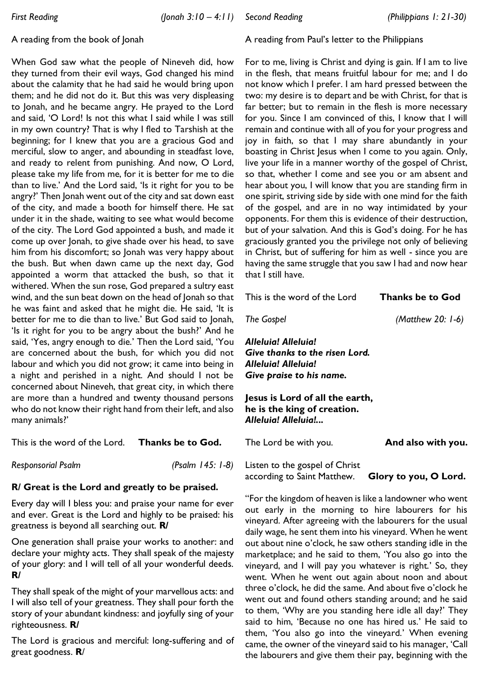### A reading from the book of Jonah

When God saw what the people of Nineveh did, how they turned from their evil ways, God changed his mind about the calamity that he had said he would bring upon them; and he did not do it. But this was very displeasing to Jonah, and he became angry. He prayed to the Lord and said, 'O Lord! Is not this what I said while I was still in my own country? That is why I fled to Tarshish at the beginning; for I knew that you are a gracious God and merciful, slow to anger, and abounding in steadfast love, and ready to relent from punishing. And now, O Lord, please take my life from me, for it is better for me to die than to live.' And the Lord said, 'Is it right for you to be angry?' Then Jonah went out of the city and sat down east of the city, and made a booth for himself there. He sat under it in the shade, waiting to see what would become of the city. The Lord God appointed a bush, and made it come up over Jonah, to give shade over his head, to save him from his discomfort; so Jonah was very happy about the bush. But when dawn came up the next day, God appointed a worm that attacked the bush, so that it withered. When the sun rose, God prepared a sultry east wind, and the sun beat down on the head of Jonah so that he was faint and asked that he might die. He said, 'It is better for me to die than to live.' But God said to Jonah, 'Is it right for you to be angry about the bush?' And he said, 'Yes, angry enough to die.' Then the Lord said, 'You are concerned about the bush, for which you did not labour and which you did not grow; it came into being in a night and perished in a night. And should I not be concerned about Nineveh, that great city, in which there are more than a hundred and twenty thousand persons who do not know their right hand from their left, and also many animals?'

This is the word of the Lord. **Thanks be to God.**

*Responsorial Psalm (Psalm 145: 1-8)*

### **R/ Great is the Lord and greatly to be praised.**

Every day will I bless you: and praise your name for ever and ever. Great is the Lord and highly to be praised: his greatness is beyond all searching out. **R/**

One generation shall praise your works to another: and declare your mighty acts. They shall speak of the majesty of your glory: and I will tell of all your wonderful deeds. **R/**

They shall speak of the might of your marvellous acts: and I will also tell of your greatness. They shall pour forth the story of your abundant kindness: and joyfully sing of your righteousness. **R/**

The Lord is gracious and merciful: long-suffering and of great goodness. **R**/

### A reading from Paul's letter to the Philippians

For to me, living is Christ and dying is gain. If I am to live in the flesh, that means fruitful labour for me; and I do not know which I prefer. I am hard pressed between the two: my desire is to depart and be with Christ, for that is far better; but to remain in the flesh is more necessary for you. Since I am convinced of this, I know that I will remain and continue with all of you for your progress and joy in faith, so that I may share abundantly in your boasting in Christ Jesus when I come to you again. Only, live your life in a manner worthy of the gospel of Christ, so that, whether I come and see you or am absent and hear about you, I will know that you are standing firm in one spirit, striving side by side with one mind for the faith of the gospel, and are in no way intimidated by your opponents. For them this is evidence of their destruction, but of your salvation. And this is God's doing. For he has graciously granted you the privilege not only of believing in Christ, but of suffering for him as well - since you are having the same struggle that you saw I had and now hear that I still have.

This is the word of the Lord **Thanks be to God**

*The Gospel (Matthew 20: 1-6)*

*Alleluia! Alleluia! Give thanks to the risen Lord. Alleluia! Alleluia! Give praise to his name.*

**Jesus is Lord of all the earth, he is the king of creation.**  *Alleluia! Alleluia!...* 

The Lord be with you. **And also with you.**

Listen to the gospel of Christ according to Saint Matthew. **Glory to you, O Lord.**

"For the kingdom of heaven is like a landowner who went out early in the morning to hire labourers for his vineyard. After agreeing with the labourers for the usual daily wage, he sent them into his vineyard. When he went out about nine o'clock, he saw others standing idle in the marketplace; and he said to them, 'You also go into the vineyard, and I will pay you whatever is right.' So, they went. When he went out again about noon and about three o'clock, he did the same. And about five o'clock he went out and found others standing around; and he said to them, 'Why are you standing here idle all day?' They said to him, 'Because no one has hired us.' He said to them, 'You also go into the vineyard.' When evening came, the owner of the vineyard said to his manager, 'Call the labourers and give them their pay, beginning with the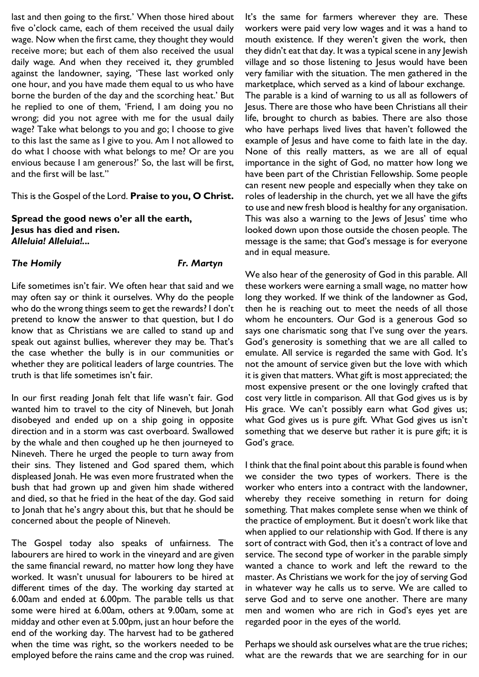last and then going to the first.' When those hired about five o'clock came, each of them received the usual daily wage. Now when the first came, they thought they would receive more; but each of them also received the usual daily wage. And when they received it, they grumbled against the landowner, saying, 'These last worked only one hour, and you have made them equal to us who have borne the burden of the day and the scorching heat.' But he replied to one of them, 'Friend, I am doing you no wrong; did you not agree with me for the usual daily wage? Take what belongs to you and go; I choose to give to this last the same as I give to you. Am I not allowed to do what I choose with what belongs to me? Or are you envious because I am generous?' So, the last will be first, and the first will be last."

This is the Gospel of the Lord. **Praise to you, O Christ.**

**Spread the good news o'er all the earth, Jesus has died and risen.**  *Alleluia! Alleluia!...* 

#### *The Homily Fr. Martyn*

Life sometimes isn't fair. We often hear that said and we may often say or think it ourselves. Why do the people who do the wrong things seem to get the rewards? I don't pretend to know the answer to that question, but I do know that as Christians we are called to stand up and speak out against bullies, wherever they may be. That's the case whether the bully is in our communities or whether they are political leaders of large countries. The truth is that life sometimes isn't fair.

In our first reading Jonah felt that life wasn't fair. God wanted him to travel to the city of Nineveh, but Jonah disobeyed and ended up on a ship going in opposite direction and in a storm was cast overboard. Swallowed by the whale and then coughed up he then journeyed to Nineveh. There he urged the people to turn away from their sins. They listened and God spared them, which displeased Jonah. He was even more frustrated when the bush that had grown up and given him shade withered and died, so that he fried in the heat of the day. God said to Jonah that he's angry about this, but that he should be concerned about the people of Nineveh.

The Gospel today also speaks of unfairness. The labourers are hired to work in the vineyard and are given the same financial reward, no matter how long they have worked. It wasn't unusual for labourers to be hired at different times of the day. The working day started at 6.00am and ended at 6.00pm. The parable tells us that some were hired at 6.00am, others at 9.00am, some at midday and other even at 5.00pm, just an hour before the end of the working day. The harvest had to be gathered when the time was right, so the workers needed to be employed before the rains came and the crop was ruined.

It's the same for farmers wherever they are. These workers were paid very low wages and it was a hand to mouth existence. If they weren't given the work, then they didn't eat that day. It was a typical scene in any Jewish village and so those listening to Jesus would have been very familiar with the situation. The men gathered in the marketplace, which served as a kind of labour exchange. The parable is a kind of warning to us all as followers of Jesus. There are those who have been Christians all their life, brought to church as babies. There are also those who have perhaps lived lives that haven't followed the example of Jesus and have come to faith late in the day. None of this really matters, as we are all of equal importance in the sight of God, no matter how long we have been part of the Christian Fellowship. Some people can resent new people and especially when they take on roles of leadership in the church, yet we all have the gifts to use and new fresh blood is healthy for any organisation. This was also a warning to the Jews of Jesus' time who looked down upon those outside the chosen people. The message is the same; that God's message is for everyone and in equal measure.

We also hear of the generosity of God in this parable. All these workers were earning a small wage, no matter how long they worked. If we think of the landowner as God, then he is reaching out to meet the needs of all those whom he encounters. Our God is a generous God so says one charismatic song that I've sung over the years. God's generosity is something that we are all called to emulate. All service is regarded the same with God. It's not the amount of service given but the love with which it is given that matters. What gift is most appreciated; the most expensive present or the one lovingly crafted that cost very little in comparison. All that God gives us is by His grace. We can't possibly earn what God gives us; what God gives us is pure gift. What God gives us isn't something that we deserve but rather it is pure gift; it is God's grace.

I think that the final point about this parable is found when we consider the two types of workers. There is the worker who enters into a contract with the landowner, whereby they receive something in return for doing something. That makes complete sense when we think of the practice of employment. But it doesn't work like that when applied to our relationship with God. If there is any sort of contract with God, then it's a contract of love and service. The second type of worker in the parable simply wanted a chance to work and left the reward to the master. As Christians we work for the joy of serving God in whatever way he calls us to serve. We are called to serve God and to serve one another. There are many men and women who are rich in God's eyes yet are regarded poor in the eyes of the world.

Perhaps we should ask ourselves what are the true riches; what are the rewards that we are searching for in our